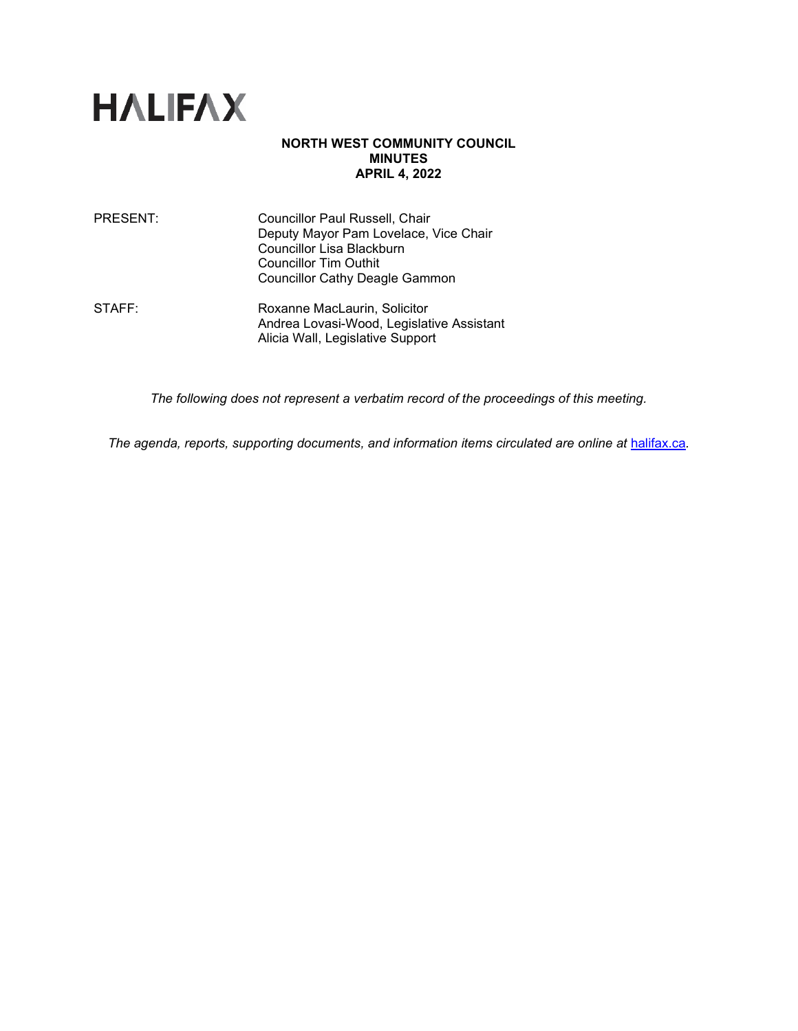

### **NORTH WEST COMMUNITY COUNCIL MINUTES APRIL 4, 2022**

| PRESENT: | <b>Councillor Paul Russell, Chair</b> |
|----------|---------------------------------------|
|          | Deputy Mayor Pam Lovelace, Vice Chair |
|          | Councillor Lisa Blackburn             |
|          | <b>Councillor Tim Outhit</b>          |
|          | <b>Councillor Cathy Deagle Gammon</b> |
|          |                                       |

STAFF: Roxanne MacLaurin, Solicitor Andrea Lovasi-Wood, Legislative Assistant Alicia Wall, Legislative Support

*The following does not represent a verbatim record of the proceedings of this meeting.*

The agenda, reports, supporting documents, and information items circulated are online at **[halifax.ca](http://www.halifax.ca/).**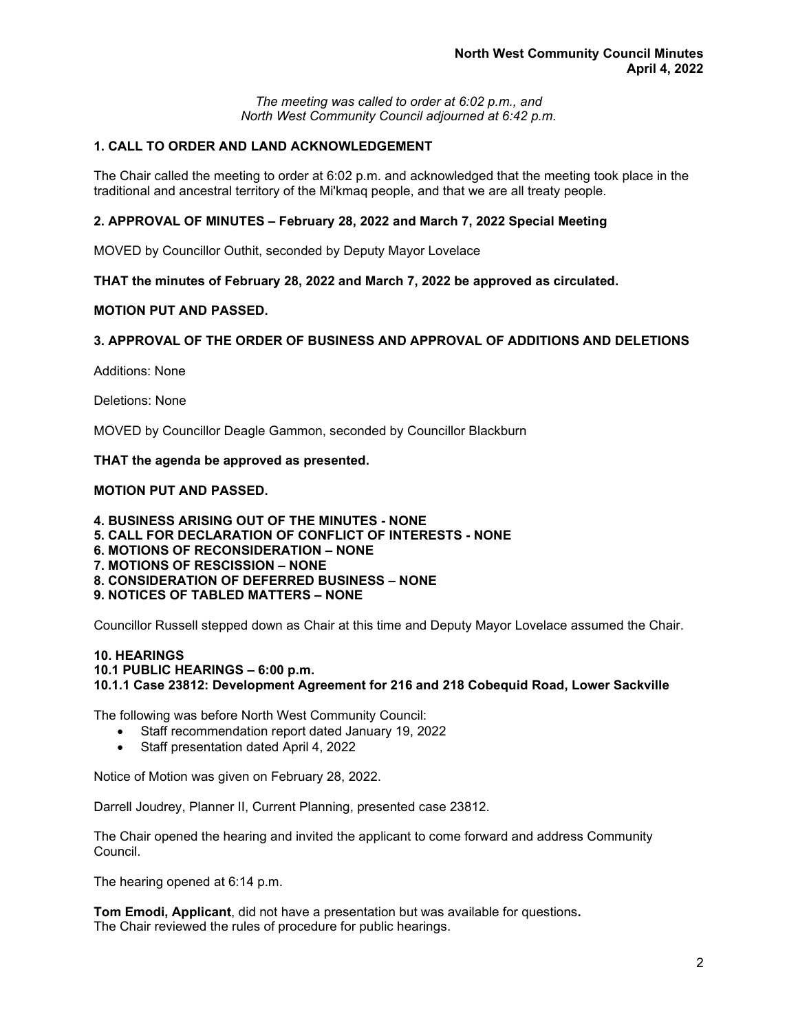*The meeting was called to order at 6:02 p.m., and North West Community Council adjourned at 6:42 p.m.*

# **1. CALL TO ORDER AND LAND ACKNOWLEDGEMENT**

The Chair called the meeting to order at 6:02 p.m. and acknowledged that the meeting took place in the traditional and ancestral territory of the Mi'kmaq people, and that we are all treaty people.

#### **2. APPROVAL OF MINUTES – February 28, 2022 and March 7, 2022 Special Meeting**

MOVED by Councillor Outhit, seconded by Deputy Mayor Lovelace

**THAT the minutes of February 28, 2022 and March 7, 2022 be approved as circulated.**

### **MOTION PUT AND PASSED.**

#### **3. APPROVAL OF THE ORDER OF BUSINESS AND APPROVAL OF ADDITIONS AND DELETIONS**

Additions: None

Deletions: None

MOVED by Councillor Deagle Gammon, seconded by Councillor Blackburn

**THAT the agenda be approved as presented.**

### **MOTION PUT AND PASSED.**

- **4. BUSINESS ARISING OUT OF THE MINUTES - NONE**
- **5. CALL FOR DECLARATION OF CONFLICT OF INTERESTS - NONE**
- **6. MOTIONS OF RECONSIDERATION – NONE**
- **7. MOTIONS OF RESCISSION – NONE**
- **8. CONSIDERATION OF DEFERRED BUSINESS – NONE**
- **9. NOTICES OF TABLED MATTERS – NONE**

Councillor Russell stepped down as Chair at this time and Deputy Mayor Lovelace assumed the Chair.

#### **10. HEARINGS 10.1 PUBLIC HEARINGS – 6:00 p.m. 10.1.1 Case 23812: Development Agreement for 216 and 218 Cobequid Road, Lower Sackville**

The following was before North West Community Council:

- Staff recommendation report dated January 19, 2022
- Staff presentation dated April 4, 2022

Notice of Motion was given on February 28, 2022.

Darrell Joudrey, Planner II, Current Planning, presented case 23812.

The Chair opened the hearing and invited the applicant to come forward and address Community Council.

The hearing opened at 6:14 p.m.

**Tom Emodi, Applicant**, did not have a presentation but was available for questions**.** The Chair reviewed the rules of procedure for public hearings.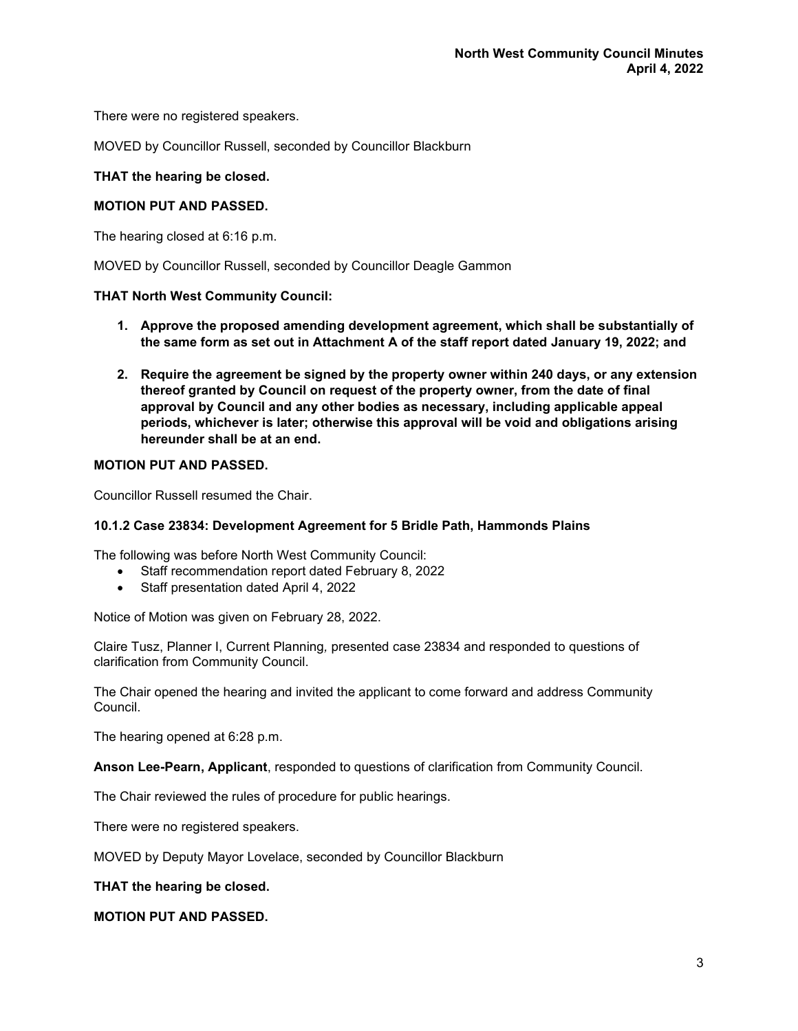There were no registered speakers.

MOVED by Councillor Russell, seconded by Councillor Blackburn

### **THAT the hearing be closed.**

### **MOTION PUT AND PASSED.**

The hearing closed at 6:16 p.m.

MOVED by Councillor Russell, seconded by Councillor Deagle Gammon

#### **THAT North West Community Council:**

- **1. Approve the proposed amending development agreement, which shall be substantially of the same form as set out in Attachment A of the staff report dated January 19, 2022; and**
- **2. Require the agreement be signed by the property owner within 240 days, or any extension thereof granted by Council on request of the property owner, from the date of final approval by Council and any other bodies as necessary, including applicable appeal periods, whichever is later; otherwise this approval will be void and obligations arising hereunder shall be at an end.**

### **MOTION PUT AND PASSED.**

Councillor Russell resumed the Chair.

#### **10.1.2 Case 23834: Development Agreement for 5 Bridle Path, Hammonds Plains**

The following was before North West Community Council:

- Staff recommendation report dated February 8, 2022
- Staff presentation dated April 4, 2022

Notice of Motion was given on February 28, 2022.

Claire Tusz, Planner I, Current Planning*,* presented case 23834 and responded to questions of clarification from Community Council.

The Chair opened the hearing and invited the applicant to come forward and address Community Council.

The hearing opened at 6:28 p.m.

**Anson Lee-Pearn, Applicant**, responded to questions of clarification from Community Council.

The Chair reviewed the rules of procedure for public hearings.

There were no registered speakers.

MOVED by Deputy Mayor Lovelace, seconded by Councillor Blackburn

**THAT the hearing be closed.** 

**MOTION PUT AND PASSED.**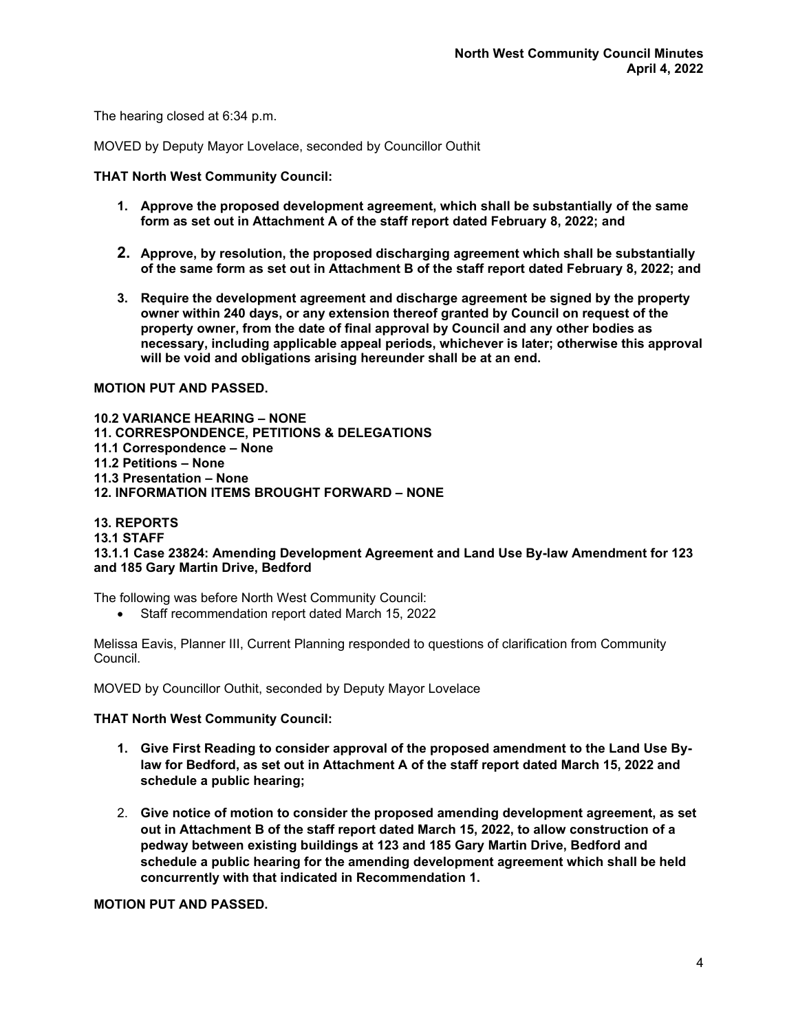The hearing closed at 6:34 p.m.

MOVED by Deputy Mayor Lovelace, seconded by Councillor Outhit

#### **THAT North West Community Council:**

- **1. Approve the proposed development agreement, which shall be substantially of the same form as set out in Attachment A of the staff report dated February 8, 2022; and**
- **2. Approve, by resolution, the proposed discharging agreement which shall be substantially of the same form as set out in Attachment B of the staff report dated February 8, 2022; and**
- **3. Require the development agreement and discharge agreement be signed by the property owner within 240 days, or any extension thereof granted by Council on request of the property owner, from the date of final approval by Council and any other bodies as necessary, including applicable appeal periods, whichever is later; otherwise this approval will be void and obligations arising hereunder shall be at an end.**

### **MOTION PUT AND PASSED.**

**10.2 VARIANCE HEARING – NONE 11. CORRESPONDENCE, PETITIONS & DELEGATIONS 11.1 Correspondence – None 11.2 Petitions – None 11.3 Presentation – None 12. INFORMATION ITEMS BROUGHT FORWARD – NONE**

### **13. REPORTS**

# **13.1 STAFF**

**13.1.1 Case 23824: Amending Development Agreement and Land Use By-law Amendment for 123 and 185 Gary Martin Drive, Bedford**

The following was before North West Community Council:

• Staff recommendation report dated March 15, 2022

Melissa Eavis, Planner III, Current Planning responded to questions of clarification from Community Council.

MOVED by Councillor Outhit, seconded by Deputy Mayor Lovelace

#### **THAT North West Community Council:**

- **1. Give First Reading to consider approval of the proposed amendment to the Land Use Bylaw for Bedford, as set out in Attachment A of the staff report dated March 15, 2022 and schedule a public hearing;**
- 2. **Give notice of motion to consider the proposed amending development agreement, as set out in Attachment B of the staff report dated March 15, 2022, to allow construction of a pedway between existing buildings at 123 and 185 Gary Martin Drive, Bedford and schedule a public hearing for the amending development agreement which shall be held concurrently with that indicated in Recommendation 1.**

**MOTION PUT AND PASSED.**